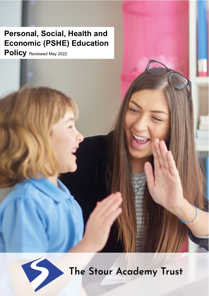# **Personal, Social, Health and Economic (PSHE) Education**

**Policy** Reviewed May 2022



The Stour Academy Trust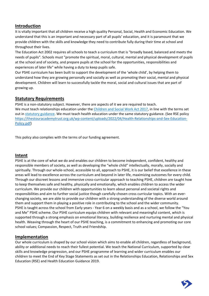# **Introduction**

It is vitally important that all children receive a high quality Personal, Social, Health and Economic Education. We understand that this is an important and necessary part of all pupils' education, and it is paramount that we provide children with the skills and knowledge they need to contribute fully during their time at school and throughout their lives.

The Education Act 2002 requires all schools to teach a curriculum that is "broadly based, balanced and meets the needs of pupils". Schools must "promote the spiritual, moral, cultural, mental and physical development of pupils at the school and of society, and prepare pupils at the school for the opportunities, responsibilities and experiences of later life" while having a duty to keep pupils safe.

Our PSHE curriculum has been built to support the development of the 'whole child', by helping them to understand how they are growing personally and socially as well as promoting their social, mental and physical development. Children will learn to successfully tackle the moral, social and cultural issues that are part of growing up.

# **Statutory Requirements**

PSHE is a non-statutory subject. However, there are aspects of it we are required to teach. We must teach relationships education under the [Children and Social Work Act 2017,](http://www.legislation.gov.uk/ukpga/2017/16/section/34/enacted) in line with the terms set out i[n statutory guidance.](https://www.gov.uk/government/publications/relationships-education-relationships-and-sex-education-rse-and-health-education) We must teach health education under the same statutory guidance. (See RSE policy [https://thestouracademytrust.org.uk/wp-content/uploads/2022/04/Health-Relationships-and-Sex-Education-](https://thestouracademytrust.org.uk/wp-content/uploads/2022/04/Health-Relationships-and-Sex-Education-Policy.pdf)[Policy.pdf\)](https://thestouracademytrust.org.uk/wp-content/uploads/2022/04/Health-Relationships-and-Sex-Education-Policy.pdf)

This policy also complies with the terms of our funding agreement.

# **Intent**

PSHE is at the core of what we do and enables our children to become independent, confident, healthy and responsible members of society, as well as developing the "whole child" intellectually, morally, socially and spiritually. Through our whole-school, accessible to all, approach to PSHE, it is our belief that excellence in these areas will lead to excellence across the curriculum and beyond in later life, maximizing outcomes for every child. Through our discreet lessons and immersive cross-curricular approach to teaching PSHE, children are taught how to keep themselves safe and healthy, physically and emotionally, which enables children to access the wider curriculum. We provide our children with opportunities to learn about personal and societal rights and responsibilities and aim to further social justice though carefully chosen cross curricular topics. With an everchanging society, we are able to provide our children with a strong understanding of the diverse world around them and support them in playing a positive role in contributing to the school and the wider community. PSHE is taught across the school from Early years - Year 6 on a weekly basis and as a school, we follow the "You and Me" PSHE scheme. Our PSHE curriculum equips children with relevant and meaningful content, which is supported through a strong emphasis on emotional literacy, building resilience and nurturing mental and physical health. Weaving through the heart of our PSHE teaching, is a commitment to enhancing and promoting our core school values; Compassion, Respect, Truth and Friendship.

# **Implementation**

Our whole curriculum is shaped by our school vision which aims to enable all children, regardless of background, ability or additional needs to reach their fullest potential. We teach the National Curriculum, supported by clear skills and knowledge progression, and our PSHE programme of learning and wider curriculum enables our children to meet the End of Key Stage Statements as set out in the Relationships Education, Relationships and Sex Education (RSE) and Health Education Guidance 2019.

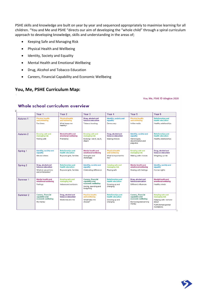PSHE skills and knowledge are built on year by year and sequenced appropriately to maximise learning for all children. "You and Me and PSHE "directs our aim of developing the "whole child" through a spiral curriculum approach to developing knowledge, skills and understanding in the areas of;

- Keeping Safe and Managing Risk
- Physical Health and Wellbeing
- Identity, Society and Equality
- Mental Health and Emotional Wellbeing
- Drug, Alcohol and Tobacco Education
- Careers, Financial Capability and Economic Wellbeing

# **You, Me, PSHE Curriculum Map:**

You, Me, PSHE © Islington 2020

|                     | Year <sub>1</sub>                                                                  | Year <sub>2</sub>                                                        | Year <sub>3</sub>                                                                               | Year <sub>4</sub>                                                          | Year <sub>5</sub>                                                                            | Year <sub>6</sub>                                                                                                 |
|---------------------|------------------------------------------------------------------------------------|--------------------------------------------------------------------------|-------------------------------------------------------------------------------------------------|----------------------------------------------------------------------------|----------------------------------------------------------------------------------------------|-------------------------------------------------------------------------------------------------------------------|
| Autumn 1            | <b>Physical health</b><br>and wellbeing<br>Fun times                               | <b>Physical health</b><br>and wellbeing<br>What keeps me<br>healthy?     | Drug, alcohol and<br>tobacco education<br>Tobacco is a drug                                     | <b>Identity, society and</b><br>equality<br>Democracy                      | <b>Physical health</b><br>and wellbeing<br>In the media                                      | <b>Relationships and</b><br>health education<br>Healthy relationships                                             |
| Autumn 2            | <b>Keeping safe and</b><br>managing risk<br>Feeling safe                           | <b>Mental health and</b><br>emotional wellbeing<br>Friendship            | <b>Keeping safe and</b><br>managing risk<br>Bullying - see it, say it,<br>stop it               | Drug, alcohol and<br>tobacco education<br>Making choices                   | <b>Identity, society and</b><br>equality<br>Stereotypes,<br>discrimination and<br>prejudice  | <b>Relationships and</b><br>health education<br>Healthy relationships                                             |
| Spring 1            | <b>Identity, society and</b><br>equality<br>Me and others                          | <b>Relationships and</b><br>health education<br>Boys and girls, families | <b>Mental health and</b><br>emotional wellbeing<br>Strengths and<br>challenges                  | <b>Physical health</b><br>and wellbeing<br>What is important to<br>me?     | <b>Keeping safe and</b><br>managing risk<br>Making safer choices                             | Drug, alcohol and<br>tobacco education<br>Weighing up risk                                                        |
| Spring 2            | Drug, alcohol and<br>tobacco education<br>What do we put into<br>and on to bodies? | <b>Relationships and</b><br>health education<br>Boys and girls, families | <b>Identity, society and</b><br>equality<br>Celebrating difference                              | Keeping safe and<br>managing risk<br>Playing safe                          | <b>Mental health and</b><br>emotional wellbeing<br>Dealing with feelings                     | Identity, society and<br>equality<br>Human rights                                                                 |
| Summer <sub>1</sub> | <b>Mental health and</b><br>emotional wellbeing<br>Feelings                        | <b>Keeping safe and</b><br>managing risk<br>Indoors and outdoors         | Careers, financial<br>capability and<br>economic wellbeing<br>Saving, spending and<br>budgeting | <b>Relationships and</b><br>health education<br>Growing up and<br>changing | Drug, alcohol and<br>tobacco education<br>Different influences                               | <b>Mental health and</b><br>emotional wellbeing<br>Healthy minds                                                  |
| Summer 2            | Careers, financial<br>capability and<br>economic wellbeing<br>My money             | Drug, alcohol and<br>tobacco education<br>Medicines and me               | <b>Physical health</b><br>and wellbeing<br>What helps me<br>choose?                             | <b>Relationships and</b><br>health education<br>Growing up and<br>changing | Careers, financial<br>capability and<br>economic wellbeing<br>Borrowing and earning<br>money | <b>Keeping safe and</b><br>managing risk<br>Keeping safe - out and<br>about<br>FGM (female genital<br>mutilation) |

### Whole school curriculum overview

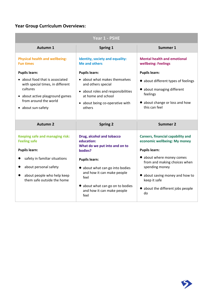# **Year Group Curriculum Overviews:**

| Year 1 - PSHE                                                                                                                                                                             |                                                                                                                                                                                      |                                                                                                                                                          |  |
|-------------------------------------------------------------------------------------------------------------------------------------------------------------------------------------------|--------------------------------------------------------------------------------------------------------------------------------------------------------------------------------------|----------------------------------------------------------------------------------------------------------------------------------------------------------|--|
| Autumn 1                                                                                                                                                                                  | Spring 1                                                                                                                                                                             | Summer 1                                                                                                                                                 |  |
| <b>Physical health and wellbeing:</b><br><b>Fun times</b>                                                                                                                                 | Identity, society and equality:<br><b>Me and others</b>                                                                                                                              | <b>Mental health and emotional</b><br>wellbeing: Feelings                                                                                                |  |
| <b>Pupils learn:</b><br>• about food that is associated<br>with special times, in different<br>cultures<br>• about active playground games<br>from around the world<br>• about sun-safety | <b>Pupils learn:</b><br>• about what makes themselves<br>and others special<br>• about roles and responsibilities<br>at home and school<br>• about being co-operative with<br>others | <b>Pupils learn:</b><br>• about different types of feelings<br>• about managing different<br>feelings<br>• about change or loss and how<br>this can feel |  |
| <b>Autumn 2</b>                                                                                                                                                                           | <b>Spring 2</b>                                                                                                                                                                      | <b>Summer 2</b>                                                                                                                                          |  |
| <b>Keeping safe and managing risk:</b><br><b>Feeling safe</b>                                                                                                                             | Drug, alcohol and tobacco<br>education:                                                                                                                                              | <b>Careers, financial capability and</b><br>economic wellbeing: My money                                                                                 |  |

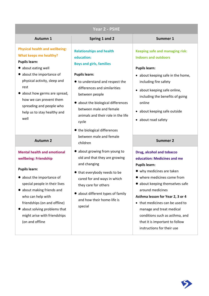# **Year 2 - PSHE**

### **Autumn 1 Spring 1 and 2 Summer 1**

**Physical health and wellbeing: What keeps me healthy?**

- **Pupils learn:**
- about eating well
- about the importance of physical activity, sleep and rest
- about how germs are spread, how we can prevent them spreading and people who help us to stay healthy and well

## **Mental health and emotional wellbeing: Friendship**

### **Pupils learn:**

- about the importance of special people in their lives
- about making friends and who can help with friendships (on and offline)
- about solving problems that might arise with friendships (on and offline

**Relationships and health education: Boys and girls, families**

### **Pupils learn:**

- to understand and respect the differences and similarities between people
- about the biological differences between male and female animals and their role in the life cycle
- the biological differences between male and female children **Autumn 2 Summer 2**
	- about growing from young to old and that they are growing and changing
	- that everybody needs to be cared for and ways in which they care for others
	- about different types of family and how their home-life is special

# **Keeping safe and managing risk: Indoors and outdoors**

### **Pupils learn:**

- about keeping safe in the home, including fire safety
- about keeping safe online, including the benefits of going online
- about keeping safe outside
- about road safety

# **Drug, alcohol and tobacco education: Medicines and me Pupils learn:**

- why medicines are taken
- where medicines come from
- about keeping themselves safe around medicines

### **Asthma lesson for Year 2, 3 or 4**

• that medicines can be used to manage and treat medical conditions such as asthma, and that it is important to follow instructions for their use

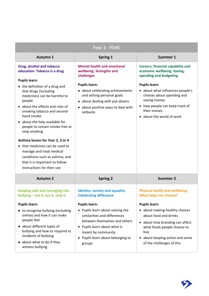| Year 3 - PSHE                                                                                                                                                                                                                                                                                                                                                                                                                                                                                                                                                    |                                                                                                                                                                                                                                                                                                  |                                                                                                                                                                                                                                                                                                   |  |
|------------------------------------------------------------------------------------------------------------------------------------------------------------------------------------------------------------------------------------------------------------------------------------------------------------------------------------------------------------------------------------------------------------------------------------------------------------------------------------------------------------------------------------------------------------------|--------------------------------------------------------------------------------------------------------------------------------------------------------------------------------------------------------------------------------------------------------------------------------------------------|---------------------------------------------------------------------------------------------------------------------------------------------------------------------------------------------------------------------------------------------------------------------------------------------------|--|
| <b>Autumn 1</b>                                                                                                                                                                                                                                                                                                                                                                                                                                                                                                                                                  | <b>Spring 1</b>                                                                                                                                                                                                                                                                                  | Summer 1                                                                                                                                                                                                                                                                                          |  |
| Drug, alcohol and tobacco<br>education: Tobacco is a drug<br><b>Pupils learn:</b><br>• the definition of a drug and<br>that drugs (including<br>medicines) can be harmful to<br>people<br>• about the effects and risks of<br>smoking tobacco and second-<br>hand smoke<br>• about the help available for<br>people to remain smoke free or<br>stop smoking<br>Asthma lesson for Year 2, 3 or 4<br>• that medicines can be used to<br>manage and treat medical<br>conditions such as asthma, and<br>that it is important to follow<br>instructions for their use | <b>Mental health and emotional</b><br>wellbeing: Strengths and<br>challenges<br><b>Pupils learn:</b><br>• about celebrating achievements<br>and setting personal goals<br>• about dealing with put-downs<br>about positive ways to deal with<br>setbacks                                         | <b>Careers, financial capability and</b><br>economic wellbeing: Saving,<br>spending and budgeting<br><b>Pupils learn:</b><br>• about what influences people's<br>choices about spending and<br>saving money<br>• how people can keep track of<br>their money<br>• about the world of work         |  |
| <b>Autumn 2</b>                                                                                                                                                                                                                                                                                                                                                                                                                                                                                                                                                  | <b>Spring 2</b>                                                                                                                                                                                                                                                                                  | <b>Summer 2</b>                                                                                                                                                                                                                                                                                   |  |
| <b>Keeping safe and managing risk:</b><br>Bullying - see it, say it, stop it<br><b>Pupils learn:</b><br>• to recognise bullying (including<br>online) and how it can make<br>people feel<br>• about different types of<br>bullying and how to respond to<br>incidents of bullying<br>• about what to do if they<br>witness bullying                                                                                                                                                                                                                              | Identity, society and equality:<br><b>Celebrating difference</b><br><b>Pupils learn:</b><br>• Pupils learn about valuing the<br>similarities and differences<br>between themselves and others<br>• Pupils learn about what is<br>meant by community<br>Pupils learn about belonging to<br>groups | <b>Physical health and wellbeing:</b><br><b>What helps me choose?</b><br><b>Pupils learn:</b><br>• about making healthy choices<br>about food and drinks<br>• about how branding can affect<br>what foods people choose to<br>buy<br>• about keeping active and some<br>of the challenges of this |  |

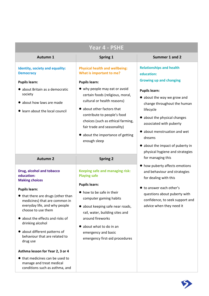| Year 4 - PSHE                                                                                                                |                                                                                                                               |                                                                                             |  |
|------------------------------------------------------------------------------------------------------------------------------|-------------------------------------------------------------------------------------------------------------------------------|---------------------------------------------------------------------------------------------|--|
| Autumn 1                                                                                                                     | Spring 1                                                                                                                      | Summer 1 and 2                                                                              |  |
| Identity, society and equality:<br><b>Democracy</b>                                                                          | <b>Physical health and wellbeing:</b><br>What is important to me?                                                             | <b>Relationships and health</b><br>education:                                               |  |
| <b>Pupils learn:</b><br>· about Britain as a democratic                                                                      | <b>Pupils learn:</b><br>• why people may eat or avoid                                                                         | <b>Growing up and changing</b><br><b>Pupils learn:</b>                                      |  |
| society<br>• about how laws are made                                                                                         | certain foods (religious, moral,<br>cultural or health reasons)                                                               | • about the way we grow and<br>change throughout the human                                  |  |
| learn about the local council                                                                                                | • about other factors that<br>contribute to people's food<br>choices (such as ethical farming,<br>fair trade and seasonality) | lifecycle<br>• about the physical changes<br>associated with puberty                        |  |
|                                                                                                                              | about the importance of getting<br>enough sleep                                                                               | • about menstruation and wet<br>dreams                                                      |  |
|                                                                                                                              |                                                                                                                               | • about the impact of puberty in<br>physical hygiene and strategies<br>for managing this    |  |
| <b>Autumn 2</b>                                                                                                              | <b>Spring 2</b>                                                                                                               |                                                                                             |  |
| Drug, alcohol and tobacco<br>education:<br><b>Making choices</b>                                                             | <b>Keeping safe and managing risk:</b><br><b>Playing safe</b>                                                                 | • how puberty affects emotions<br>and behaviour and strategies<br>for dealing with this     |  |
|                                                                                                                              | <b>Pupils learn:</b>                                                                                                          | ● to answer each other's                                                                    |  |
| <b>Pupils learn:</b><br>● that there are drugs (other than<br>medicines) that are common in<br>everyday life, and why people | ● how to be safe in their<br>computer gaming habits<br>• about keeping safe near roads,                                       | questions about puberty with<br>confidence, to seek support and<br>advice when they need it |  |
| choose to use them<br>about the effects and risks of<br>drinking alcohol                                                     | rail, water, building sites and<br>around fireworks<br>about what to do in an<br>♥                                            |                                                                                             |  |
| about different patterns of<br>behaviour that are related to<br>drug use                                                     | emergency and basic<br>emergency first-aid procedures                                                                         |                                                                                             |  |
| Asthma lesson for Year 2, 3 or 4                                                                                             |                                                                                                                               |                                                                                             |  |
| ● that medicines can be used to<br>manage and treat medical<br>conditions such as asthma, and                                |                                                                                                                               |                                                                                             |  |

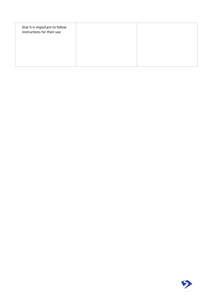| that it is important to follow<br>instructions for their use |  |
|--------------------------------------------------------------|--|
|                                                              |  |
|                                                              |  |

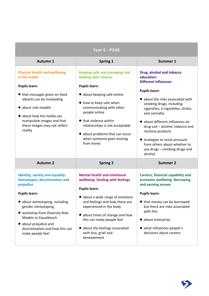| Year 5 - PSHE                                                                                                                                                                                                                                                                                                       |                                                                                                                                                                                                                                                                                                                                              |                                                                                                                                                                                                                                                                                                                                                                                                                               |  |
|---------------------------------------------------------------------------------------------------------------------------------------------------------------------------------------------------------------------------------------------------------------------------------------------------------------------|----------------------------------------------------------------------------------------------------------------------------------------------------------------------------------------------------------------------------------------------------------------------------------------------------------------------------------------------|-------------------------------------------------------------------------------------------------------------------------------------------------------------------------------------------------------------------------------------------------------------------------------------------------------------------------------------------------------------------------------------------------------------------------------|--|
| Autumn 1                                                                                                                                                                                                                                                                                                            | Spring 1                                                                                                                                                                                                                                                                                                                                     | Summer 1                                                                                                                                                                                                                                                                                                                                                                                                                      |  |
| <b>Physical health and wellbeing:</b><br>In the media<br><b>Pupils learn:</b><br>• that messages given on food<br>adverts can be misleading<br>• about role models<br>• about how the media can<br>manipulate images and that<br>these images may not reflect<br>reality                                            | <b>Keeping safe and managing risk:</b><br><b>Making safer choices</b><br><b>Pupils learn:</b><br>• about keeping safe online<br>● how to keep safe when<br>communicating with other<br>people online<br>● that violence within<br>relationships is not acceptable<br>about problems that can occur<br>when someone goes missing<br>from home | Drug, alcohol and tobacco<br>education:<br><b>Different influences</b><br><b>Pupils learn:</b><br>• about the risks associated with<br>smoking drugs, including<br>cigarettes, e-cigarettes, shisha<br>and cannabis<br>• about different influences on<br>drug use - alcohol, tobacco and<br>nicotine products<br>• strategies to resist pressure<br>from others about whether to<br>use drugs - smoking drugs and<br>alcohol |  |
| <b>Autumn 2</b>                                                                                                                                                                                                                                                                                                     | <b>Spring 2</b>                                                                                                                                                                                                                                                                                                                              | <b>Summer 2</b>                                                                                                                                                                                                                                                                                                                                                                                                               |  |
| Identity, society and equality:<br><b>Stereotypes, discrimination and</b><br>prejudice<br><b>Pupils learn:</b><br>· about stereotyping, including<br>gender stereotyping<br>• workshop from Diversity Role<br>Models or Equaliteach<br>• about prejudice and<br>discrimination and how this can<br>make people feel | <b>Mental health and emotional</b><br>wellbeing: Dealing with feelings<br><b>Pupils learn:</b><br>• about a wide range of emotions<br>and feelings and how these are<br>experienced in the body<br>about times of change and how<br>this can make people feel<br>about the feelings associated<br>with loss, grief and<br>bereavement        | <b>Careers, financial capability and</b><br>economic wellbeing: Borrowing<br>and earning money<br><b>Pupils learn:</b><br>● that money can be borrowed<br>but there are risks associated<br>with this<br>• about enterprise<br>• what influences people's<br>decisions about careers                                                                                                                                          |  |

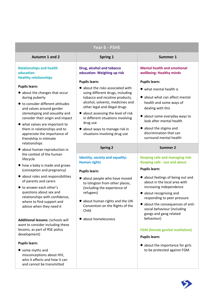| Year 6 - PSHE                                                                                                                                                                                                                                                                                                                               |                                                                                                                                                                                                                                                                                                                                                                 |                                                                                                                                                                                                                                                                                                                                                                    |  |
|---------------------------------------------------------------------------------------------------------------------------------------------------------------------------------------------------------------------------------------------------------------------------------------------------------------------------------------------|-----------------------------------------------------------------------------------------------------------------------------------------------------------------------------------------------------------------------------------------------------------------------------------------------------------------------------------------------------------------|--------------------------------------------------------------------------------------------------------------------------------------------------------------------------------------------------------------------------------------------------------------------------------------------------------------------------------------------------------------------|--|
| <b>Autumn 1 and 2</b>                                                                                                                                                                                                                                                                                                                       | Spring 1                                                                                                                                                                                                                                                                                                                                                        | Summer 1                                                                                                                                                                                                                                                                                                                                                           |  |
| <b>Relationships and health</b><br>education:<br><b>Healthy relationships</b>                                                                                                                                                                                                                                                               | Drug, alcohol and tobacco<br>education: Weighing up risk                                                                                                                                                                                                                                                                                                        | <b>Mental health and emotional</b><br>wellbeing: Healthy minds                                                                                                                                                                                                                                                                                                     |  |
| <b>Pupils learn:</b><br>• about the changes that occur<br>during puberty<br>● to consider different attitudes<br>and values around gender<br>stereotyping and sexuality and<br>consider their origin and impact<br>• what values are important to<br>them in relationships and to<br>appreciate the importance of<br>friendship in intimate | <b>Pupils learn:</b><br>• about the risks associated with<br>using different drugs, including<br>tobacco and nicotine products,<br>alcohol, solvents, medicines and<br>other legal and illegal drugs<br>• about assessing the level of risk<br>in different situations involving<br>drug use<br>• about ways to manage risk in<br>situations involving drug use | <b>Pupils learn:</b><br>• what mental health is<br>• about what can affect mental<br>health and some ways of<br>dealing with this<br>• about some everyday ways to<br>look after mental health<br>• about the stigma and<br>discrimination that can<br>surround mental health                                                                                      |  |
| relationships<br>• about human reproduction in                                                                                                                                                                                                                                                                                              | <b>Spring 2</b>                                                                                                                                                                                                                                                                                                                                                 | <b>Summer 2</b>                                                                                                                                                                                                                                                                                                                                                    |  |
| the context of the human<br>lifecycle<br>• how a baby is made and grows<br>(conception and pregnancy)<br>• about roles and responsibilities<br>of parents and carers<br>● to answer each other's<br>questions about sex and<br>relationships with confidence,<br>where to find support and<br>advice when they need it                      | Identity, society and equality:<br><b>Human rights</b><br><b>Pupils learn:</b><br>• about people who have moved<br>to Islington from other places,<br>(including the experience of<br>refugees)<br>about human rights and the UN<br>Convention on the Rights of the<br>Child                                                                                    | <b>Keeping safe and managing risk:</b><br>Keeping safe - out and about<br><b>Pupils learn:</b><br>• about feelings of being out and<br>about in the local area with<br>increasing independence<br>about recognising and<br>responding to peer pressure<br>• about the consequences of anti-<br>social behaviour (including<br>gangs and gang related<br>behaviour) |  |
| Additional lessons: (schools will<br>want to consider including these<br>lessons, as part of RSE policy<br>development)<br><b>Pupils learn:</b><br>• some myths and<br>misconceptions about HIV,<br>who it affects and how it can                                                                                                           | about homelessness                                                                                                                                                                                                                                                                                                                                              | <b>FGM</b> (female genital mutilation)<br><b>Pupils learn:</b><br>• about the importance for girls<br>to be protected against FGM                                                                                                                                                                                                                                  |  |

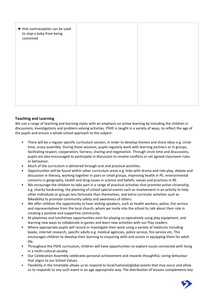| ● that contraception can be used<br>to stop a baby from being<br>conceived |  |
|----------------------------------------------------------------------------|--|
|                                                                            |  |
|                                                                            |  |
|                                                                            |  |

### **Teaching and Learning**

We use a range of teaching and learning styles with an emphasis on active learning by including the children in discussions, investigations and problem-solving activities. PSHE is taught in a variety of ways, to reflect the age of the pupils and ensure a whole school approach to the subject:

- There will be a regular specific curriculum session, in order to develop themes and share ideas e.g. circle time, oracy assembly. During these sessions, pupils regularly work with learning partners or in groups, facilitating respect, cooperation, fairness, sharing and negotiation. Through circle time and discussions, pupils are also encouraged to participate in discussion to resolve conflicts or set agreed classroom rules or behaviour.
- Much of the curriculum is delivered through oral and practical activities.
- Opportunities will be found within other curriculum areas e.g. links with drama and role-play, debate and discussion in literacy, working together in pairs or small groups, improving health in PE, environmental concerns in geography, health and drug issues in science and beliefs, values and practices in RE.
- We encourage the children to take part in a range of practical activities that promote active citizenship, e.g. charity fundraising, the planning of school special events such as involvement in an activity to help other individuals or groups less fortunate than themselves, and extra-curricular activities such as Bikeability to promote community safety and awareness of others.
- We offer children the opportunity to hear visiting speakers, such as health workers, police, fire service and representatives from the local church, whom we invite into the school to talk about their role in creating a positive and supportive community.
- At playtimes and lunchtimes opportunities exist for playing co-operatively using play equipment, and learning new ways to collaborate in games and learn new activities with our Play Leaders.
- Where appropriate pupils will record or investigate their work using a variety of mediums including books, internet research, specific adults e.g. medical agencies, police service, fire service etc. This encourages children to develop their learning to enquiring skills and assists in equipping them for adult life.
- Throughout the PSHE curriculum, children will have opportunities to explore issues connected with living in a multi-cultural society.
- Our Celebration Assembly celebrates personal achievement and rewards thoughtful, caring behaviour that aligns to our School Values.
- Flexibility in the timetable allows us to respond to local/national/global events that may occur and allow us to responds to any such event in an age appropriate way. The distribution of lessons complements key

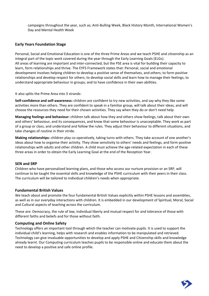campaigns throughout the year, such as; Anti-Bulling Week, Black History Month, International Women's Day and Mental Health Week

### **Early Years Foundation Stage**

Personal, Social and Emotional Education is one of the three Prime Areas and we teach PSHE and citizenship as an integral part of the topic work covered during the year through the Early Learning Goals (ELGs). All areas of learning are important and inter-connected, but the PSE area is vital for building their capacity to learn, form relationships and thrive. The EYFS Framework states that: Personal, social and emotional development involves helping children to develop a positive sense of themselves, and others; to form positive relationships and develop respect for others; to develop social skills and learn how to manage their feelings; to understand appropriate behaviour in groups; and to have confidence in their own abilities.

It also splits the Prime Area into 3 strands:

**Self-confidence and self-awareness:** children are confident to try new activities, and say why they like some activities more than others. They are confident to speak in a familiar group, will talk about their ideas, and will choose the resources they need for their chosen activities. They say when they do or don't need help.

**Managing feelings and behaviour:** children talk about how they and others show feelings, talk about their own and others' behaviour, and its consequences, and know that some behaviour is unacceptable. They work as part of a group or class, and understand and follow the rules. They adjust their behaviour to different situations, and take changes of routine in their stride.

**Making relationships:** children play co-operatively, taking turns with others. They take account of one another's ideas about how to organise their activity. They show sensitivity to others' needs and feelings, and form positive relationships with adults and other children. A child must achieve the age-related expectation in each of these three areas in order to obtain the Early Learning Goal at the end of the Reception Year.

### **SEN and SRP**

Children who have personalised learning plans, and those who access our nurture provision or an SRP, will continue to be taught the essential skills and knowledge of the PSHE curriculum with their peers in their class. The curriculum will be tailored to individual children's needs when appropriate.

### **Fundamental British Values**

We teach about and promote the four fundamental British Values explicitly within PSHE lessons and assemblies, as well as in our everyday interactions with children. It is embedded in our development of Spiritual, Moral, Social and Cultural aspects of teaching across the curriculum.

These are: Democracy, the rule of law, individual liberty and mutual respect for and tolerance of those with different faiths and beliefs and for those without faith.

### **Computing and Online Safety**

Technology offers an important tool through which the teacher can motivate pupils. It is used to support the individual child's learning, helps with research and enables information to be manipulated and retrieved. Technology can give invaluable opportunities to develop and apply PSHE and Citizenship skills and knowledge already learnt. Our Computing curriculum teaches pupils to be responsible online and educate them about the need to develop a positive and safe online profile.

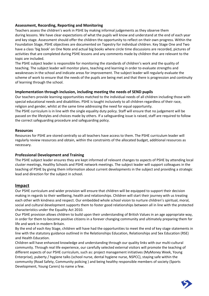### **Assessment, Recording, Reporting and Monitoring**

Teachers assess the children's work in PSHE by making informal judgements as they observe them during lessons. We have clear expectations of what the pupils will know and understand at the end of each year and key stage. Assessment should offer the children the opportunity to reflect on their own progress. Within the Foundation Stage, PSHE objectives are documented on Tapestry for individual children. Key Stage One and Two have a class 'big book' on One Note and actual big books where circle time discussions are recorded, pictures of activities that are completed during PSHE lessons and any comments made by children that are relevant to the topic are included.

The PSHE subject leader is responsible for monitoring the standards of children's work and the quality of teaching. The subject leader will monitor plans, teaching and learning in order to evaluate strengths and weaknesses in the school and indicate areas for improvement. The subject leader will regularly evaluate the scheme of work to ensure that the needs of the pupils are being met and that there is progression and continuity of learning through the school.

### **Implementation through inclusion, including meeting the needs of SEND pupils**

Our teachers provide learning opportunities matched to the individual needs of all children including those with special educational needs and disabilities. PSHE is taught inclusively to all children regardless of their race, religion and gender, whilst at the same time addressing the need for equal opportunity.

The PSHE curriculum is in line with the single equality duty policy. Staff will ensure that no judgement will be passed on the lifestyles and choices made by others. If a safeguarding issue is raised, staff are required to follow the correct safeguarding procedure and safeguarding policy.

### **Resources**

Resources for PSHE are stored centrally so all teachers have access to them. The PSHE curriculum leader will regularly review resources and obtain, within the constraints of the allocated budget, additional resources as necessary.

### **Professional Development and Training**

The PSHE subject leader ensures they are kept informed of relevant changes to aspects of PSHE by attending local cluster meetings, Healthy Schools and PSHE network meetings. The subject leader will support colleagues in the teaching of PSHE by giving them information about current developments in the subject and providing a strategic lead and direction for the subject in school.

### **Impact**

Our PSHE curriculum and wider provision will ensure that children will be equipped to support their decision making in regards to their wellbeing, health and relationships. Children will start their journey with us treating each other with kindness and respect. Our embedded whole school vision to nurture children's spiritual, moral, social and cultural development supports them to foster good relationships between all in line with the protected characteristics under the Equality Act 2010.

Our PSHE provision allows children to build upon their understanding of British Values in an age appropriate way, in order for them to become positive citizens in a forever changing community and ultimately preparing them for life and work in modern Britain.

By the end of each Key Stage, children will have had the opportunities to meet the end of key stage statements in line with the statutory guidance outlined in the Relationships Education, Relationships and Sex Education (RSE) and Health Education.

Children will have enhanced knowledge and understanding through our quality links with our multi-cultural community. Through real life experience, our carefully selected external visitors will promote the teaching of different aspects of our PSHE curriculum, such as: project management initiatives (MyMoney Week, Young Enterprise), puberty / hygiene talks (school nurse, dental hygiene nurse, NSPCC), staying safe within the community (Road Safety, Community policing ) and being healthy responsible members of society (Sports Development, Young Carers) to name a few.